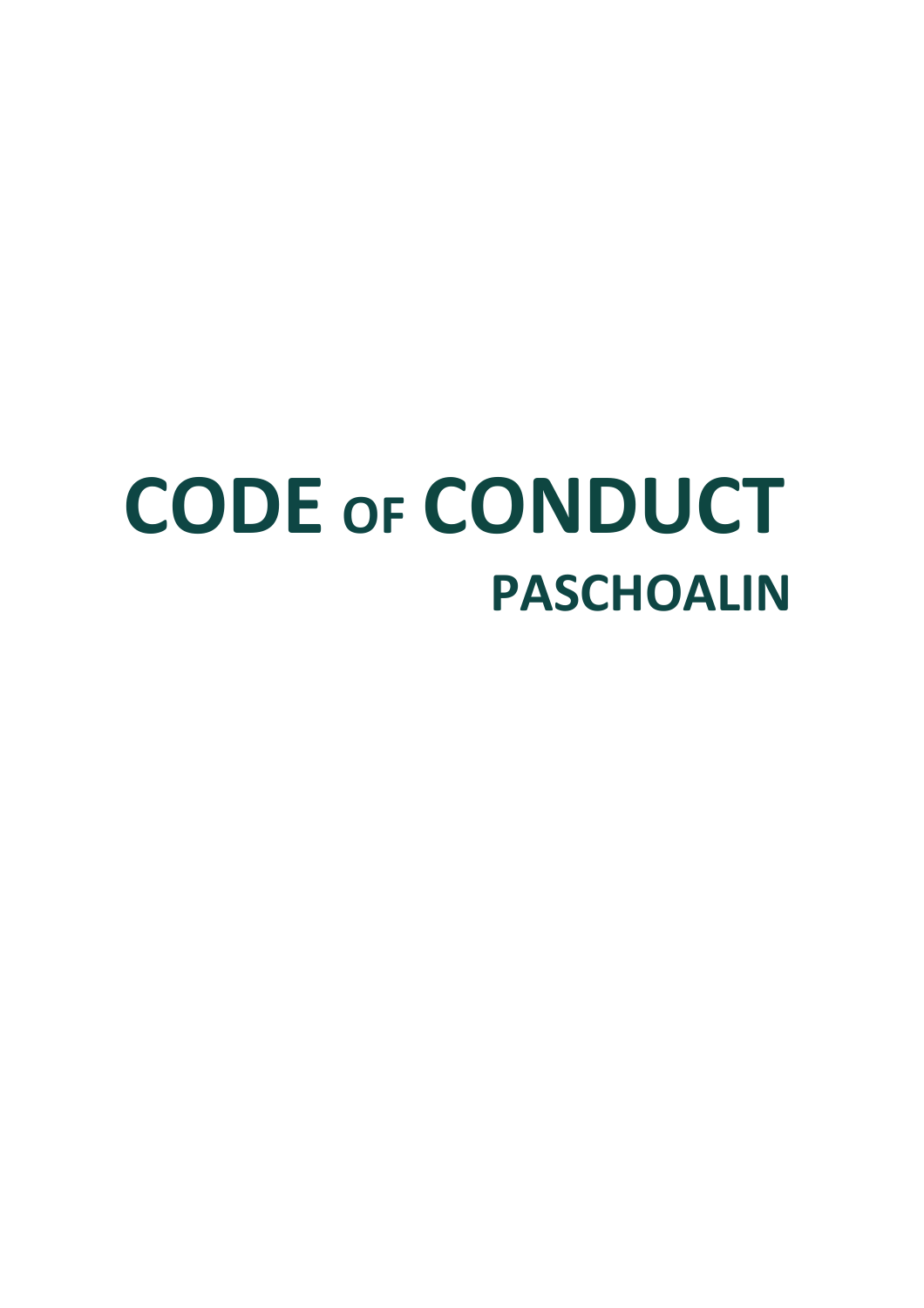# **CODE OF CONDUCT PASCHOALIN**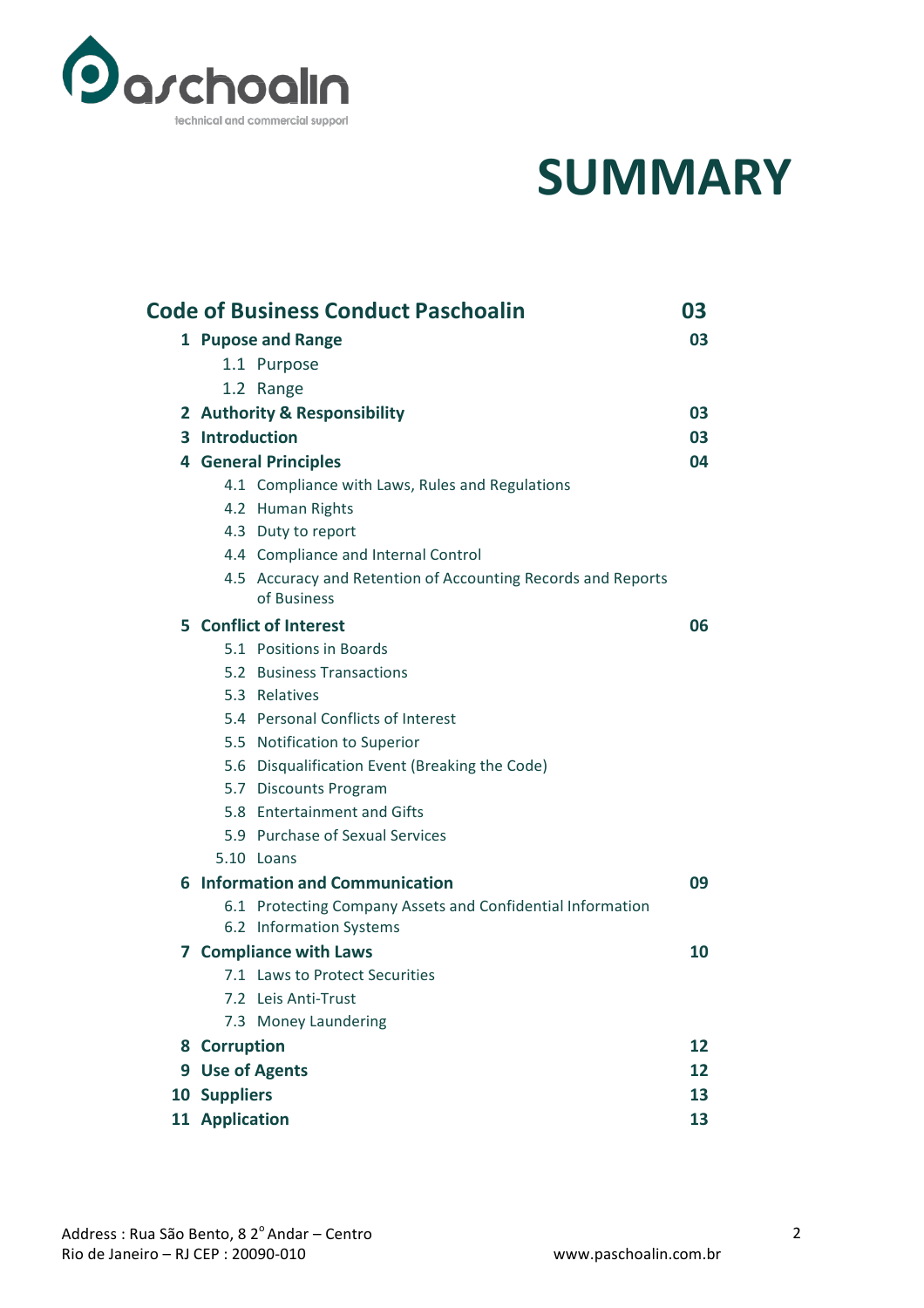

### **SUMMARY**

| <b>Code of Business Conduct Paschoalin</b><br>03 |                               |                                                                             |    |
|--------------------------------------------------|-------------------------------|-----------------------------------------------------------------------------|----|
|                                                  | 1 Pupose and Range            |                                                                             |    |
|                                                  |                               | 1.1 Purpose                                                                 |    |
|                                                  |                               | 1.2 Range                                                                   |    |
|                                                  | 2 Authority & Responsibility  |                                                                             | 03 |
|                                                  | 3 Introduction                |                                                                             | 03 |
|                                                  | <b>4 General Principles</b>   |                                                                             | 04 |
|                                                  |                               | 4.1 Compliance with Laws, Rules and Regulations                             |    |
|                                                  |                               | 4.2 Human Rights                                                            |    |
|                                                  |                               | 4.3 Duty to report                                                          |    |
|                                                  |                               | 4.4 Compliance and Internal Control                                         |    |
|                                                  |                               | 4.5 Accuracy and Retention of Accounting Records and Reports<br>of Business |    |
|                                                  | 5 Conflict of Interest        |                                                                             | 06 |
|                                                  |                               | 5.1 Positions in Boards                                                     |    |
|                                                  |                               | 5.2 Business Transactions                                                   |    |
|                                                  |                               | 5.3 Relatives                                                               |    |
|                                                  |                               | 5.4 Personal Conflicts of Interest                                          |    |
|                                                  |                               | 5.5 Notification to Superior                                                |    |
|                                                  |                               | 5.6 Disqualification Event (Breaking the Code)                              |    |
|                                                  |                               | 5.7 Discounts Program                                                       |    |
|                                                  |                               | 5.8 Entertainment and Gifts                                                 |    |
|                                                  |                               | 5.9 Purchase of Sexual Services                                             |    |
|                                                  |                               | 5.10 Loans                                                                  |    |
|                                                  |                               | 6 Information and Communication                                             | 09 |
|                                                  |                               | 6.1 Protecting Company Assets and Confidential Information                  |    |
|                                                  |                               | 6.2 Information Systems                                                     |    |
|                                                  | <b>7 Compliance with Laws</b> |                                                                             | 10 |
|                                                  |                               | 7.1 Laws to Protect Securities                                              |    |
|                                                  |                               | 7.2 Leis Anti-Trust                                                         |    |
|                                                  |                               | 7.3 Money Laundering                                                        |    |
|                                                  | 8 Corruption                  |                                                                             | 12 |
|                                                  | 9 Use of Agents               |                                                                             | 12 |
|                                                  | 10 Suppliers                  |                                                                             | 13 |
|                                                  | 11 Application                |                                                                             | 13 |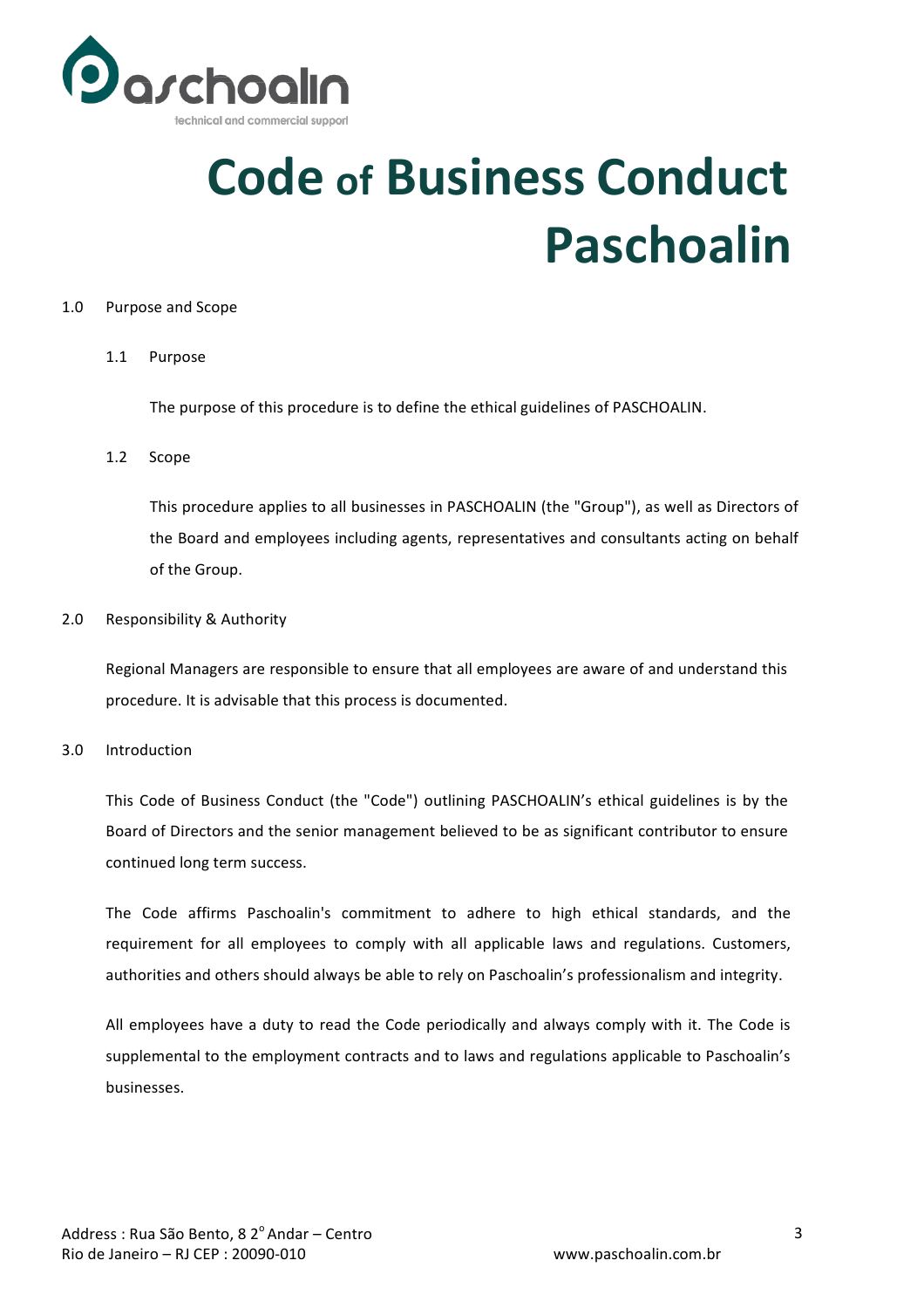

## **Code of Business Conduct Paschoalin**

#### 1.0 Purpose and Scope

#### 1.1 Purpose

The purpose of this procedure is to define the ethical guidelines of PASCHOALIN.

#### 1.2 Scope

This procedure applies to all businesses in PASCHOALIN (the "Group"), as well as Directors of the Board and employees including agents, representatives and consultants acting on behalf of the Group.

#### 2.0 Responsibility & Authority

Regional Managers are responsible to ensure that all employees are aware of and understand this procedure. It is advisable that this process is documented.

#### 3.0 Introduction

This Code of Business Conduct (the "Code") outlining PASCHOALIN's ethical guidelines is by the Board of Directors and the senior management believed to be as significant contributor to ensure continued long term success.

The Code affirms Paschoalin's commitment to adhere to high ethical standards, and the requirement for all employees to comply with all applicable laws and regulations. Customers, authorities and others should always be able to rely on Paschoalin's professionalism and integrity.

All employees have a duty to read the Code periodically and always comply with it. The Code is supplemental to the employment contracts and to laws and regulations applicable to Paschoalin's businesses.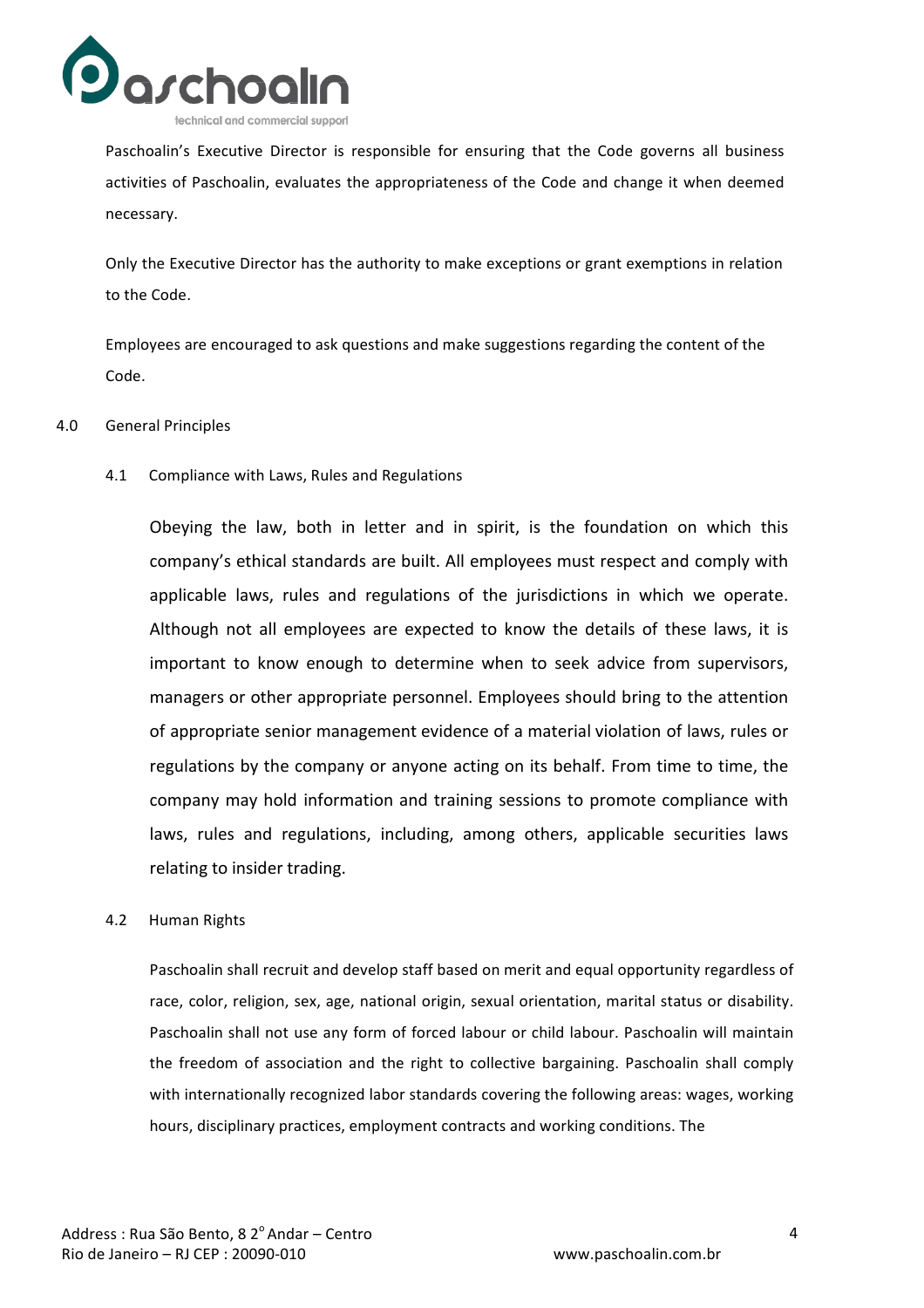

Paschoalin's Executive Director is responsible for ensuring that the Code governs all business activities of Paschoalin, evaluates the appropriateness of the Code and change it when deemed necessary.

Only the Executive Director has the authority to make exceptions or grant exemptions in relation to the Code.

Employees are encouraged to ask questions and make suggestions regarding the content of the Code.

#### 4.0 General Principles

4.1 Compliance with Laws, Rules and Regulations

Obeying the law, both in letter and in spirit, is the foundation on which this company's ethical standards are built. All employees must respect and comply with applicable laws, rules and regulations of the jurisdictions in which we operate. Although not all employees are expected to know the details of these laws, it is important to know enough to determine when to seek advice from supervisors, managers or other appropriate personnel. Employees should bring to the attention of appropriate senior management evidence of a material violation of laws, rules or regulations by the company or anyone acting on its behalf. From time to time, the company may hold information and training sessions to promote compliance with laws, rules and regulations, including, among others, applicable securities laws relating to insider trading.

#### 4.2 Human Rights

Paschoalin shall recruit and develop staff based on merit and equal opportunity regardless of race, color, religion, sex, age, national origin, sexual orientation, marital status or disability. Paschoalin shall not use any form of forced labour or child labour. Paschoalin will maintain the freedom of association and the right to collective bargaining. Paschoalin shall comply with internationally recognized labor standards covering the following areas: wages, working hours, disciplinary practices, employment contracts and working conditions. The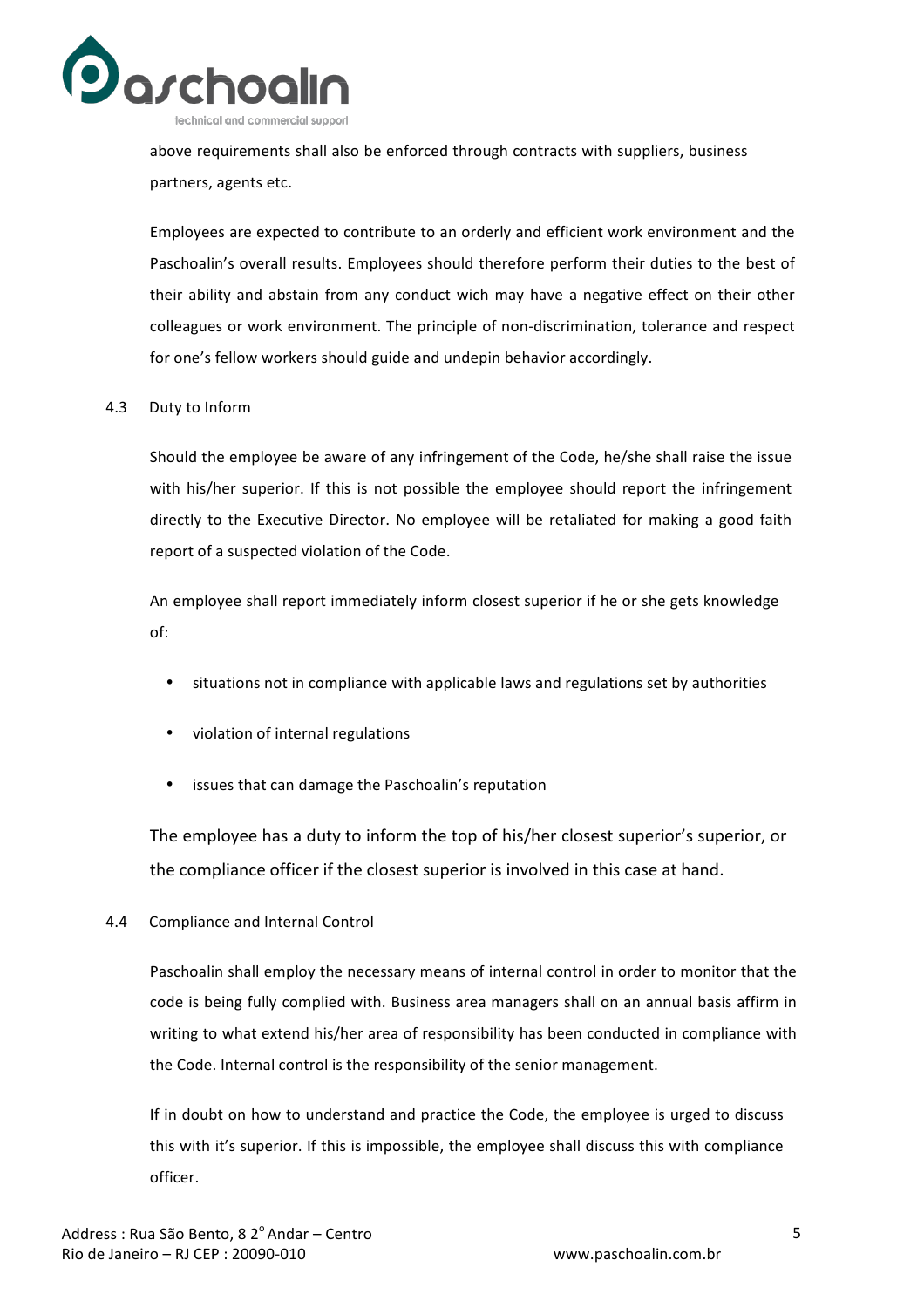

above requirements shall also be enforced through contracts with suppliers, business partners, agents etc.

Employees are expected to contribute to an orderly and efficient work environment and the Paschoalin's overall results. Employees should therefore perform their duties to the best of their ability and abstain from any conduct wich may have a negative effect on their other colleagues or work environment. The principle of non-discrimination, tolerance and respect for one's fellow workers should guide and undepin behavior accordingly.

#### 4.3 Duty to Inform

Should the employee be aware of any infringement of the Code, he/she shall raise the issue with his/her superior. If this is not possible the employee should report the infringement directly to the Executive Director. No employee will be retaliated for making a good faith report of a suspected violation of the Code.

An employee shall report immediately inform closest superior if he or she gets knowledge of:

- situations not in compliance with applicable laws and regulations set by authorities
- violation of internal regulations
- issues that can damage the Paschoalin's reputation

The employee has a duty to inform the top of his/her closest superior's superior, or the compliance officer if the closest superior is involved in this case at hand.

#### 4.4 Compliance and Internal Control

Paschoalin shall employ the necessary means of internal control in order to monitor that the code is being fully complied with. Business area managers shall on an annual basis affirm in writing to what extend his/her area of responsibility has been conducted in compliance with the Code. Internal control is the responsibility of the senior management.

If in doubt on how to understand and practice the Code, the employee is urged to discuss this with it's superior. If this is impossible, the employee shall discuss this with compliance officer.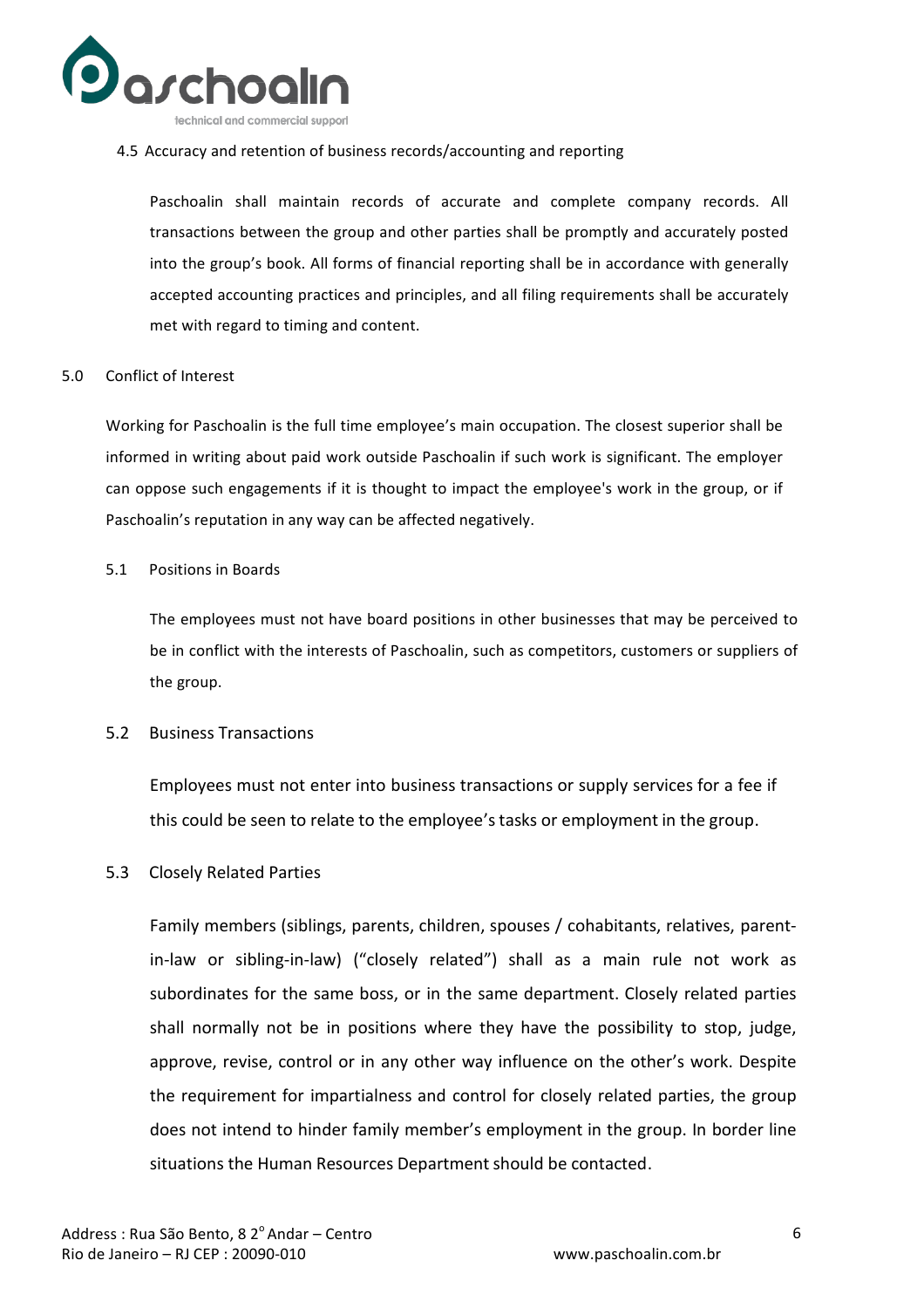

4.5 Accuracy and retention of business records/accounting and reporting

Paschoalin shall maintain records of accurate and complete company records. All transactions between the group and other parties shall be promptly and accurately posted into the group's book. All forms of financial reporting shall be in accordance with generally accepted accounting practices and principles, and all filing requirements shall be accurately met with regard to timing and content.

5.0 Conflict of Interest

Working for Paschoalin is the full time employee's main occupation. The closest superior shall be informed in writing about paid work outside Paschoalin if such work is significant. The employer can oppose such engagements if it is thought to impact the employee's work in the group, or if Paschoalin's reputation in any way can be affected negatively.

5.1 Positions in Boards

The employees must not have board positions in other businesses that may be perceived to be in conflict with the interests of Paschoalin, such as competitors, customers or suppliers of the group.

5.2 Business Transactions

Employees must not enter into business transactions or supply services for a fee if this could be seen to relate to the employee's tasks or employment in the group.

5.3 Closely Related Parties

Family members (siblings, parents, children, spouses / cohabitants, relatives, parentin-law or sibling-in-law) ("closely related") shall as a main rule not work as subordinates for the same boss, or in the same department. Closely related parties shall normally not be in positions where they have the possibility to stop, judge, approve, revise, control or in any other way influence on the other's work. Despite the requirement for impartialness and control for closely related parties, the group does not intend to hinder family member's employment in the group. In border line situations the Human Resources Department should be contacted.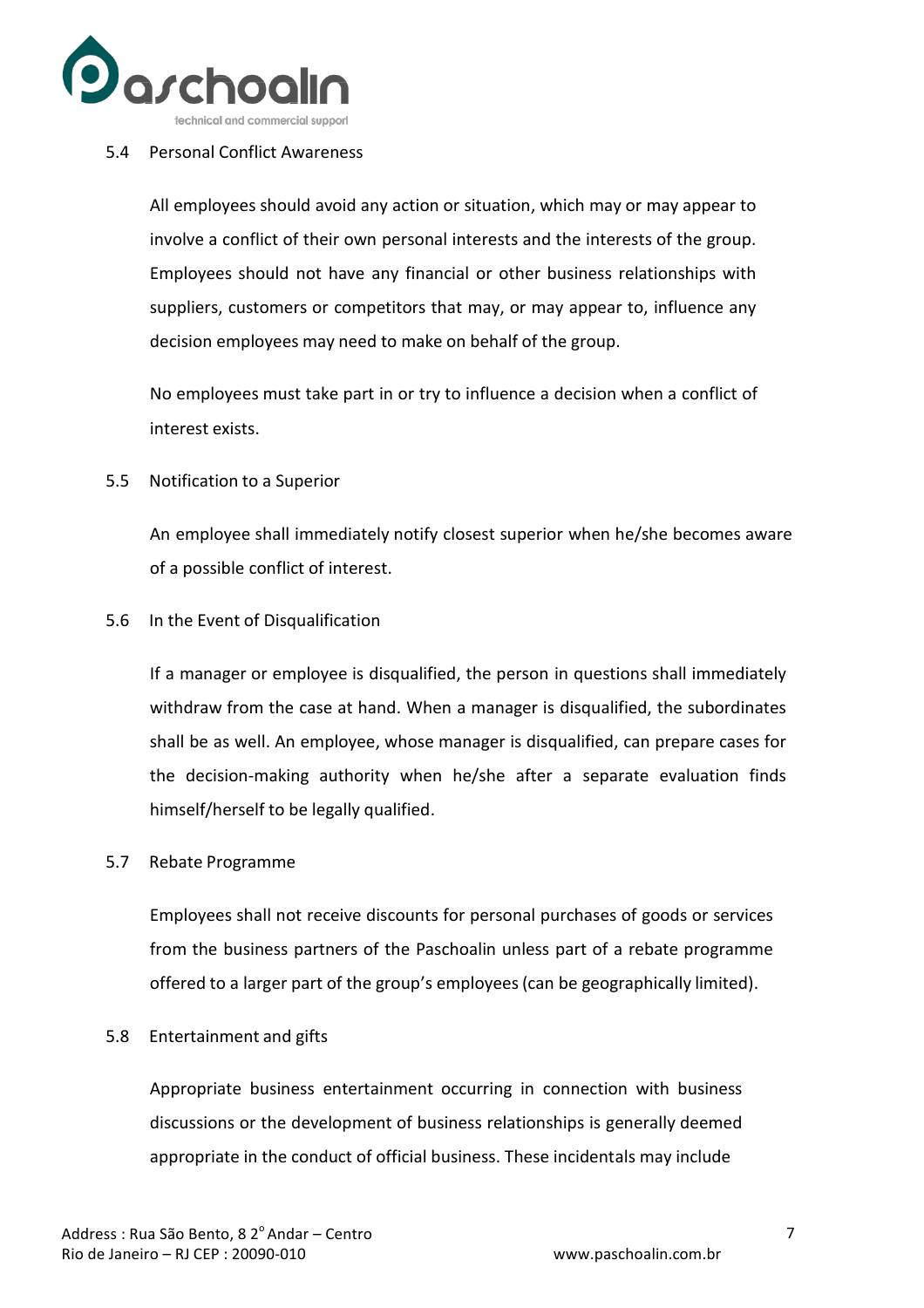

#### 5.4 Personal Conflict Awareness

All employees should avoid any action or situation, which may or may appear to involve a conflict of their own personal interests and the interests of the group. Employees should not have any financial or other business relationships with suppliers, customers or competitors that may, or may appear to, influence any decision employees may need to make on behalf of the group.

No employees must take part in or try to influence a decision when a conflict of interest exists.

5.5 Notification to a Superior

An employee shall immediately notify closest superior when he/she becomes aware of a possible conflict of interest.

#### 5.6 In the Event of Disqualification

If a manager or employee is disqualified, the person in questions shall immediately withdraw from the case at hand. When a manager is disqualified, the subordinates shall be as well. An employee, whose manager is disqualified, can prepare cases for the decision-making authority when he/she after a separate evaluation finds himself/herself to be legally qualified.

#### 5.7 Rebate Programme

Employees shall not receive discounts for personal purchases of goods or services from the business partners of the Paschoalin unless part of a rebate programme offered to a larger part of the group's employees (can be geographically limited).

#### 5.8 Entertainment and gifts

Appropriate business entertainment occurring in connection with business discussions or the development of business relationships is generally deemed appropriate in the conduct of official business. These incidentals may include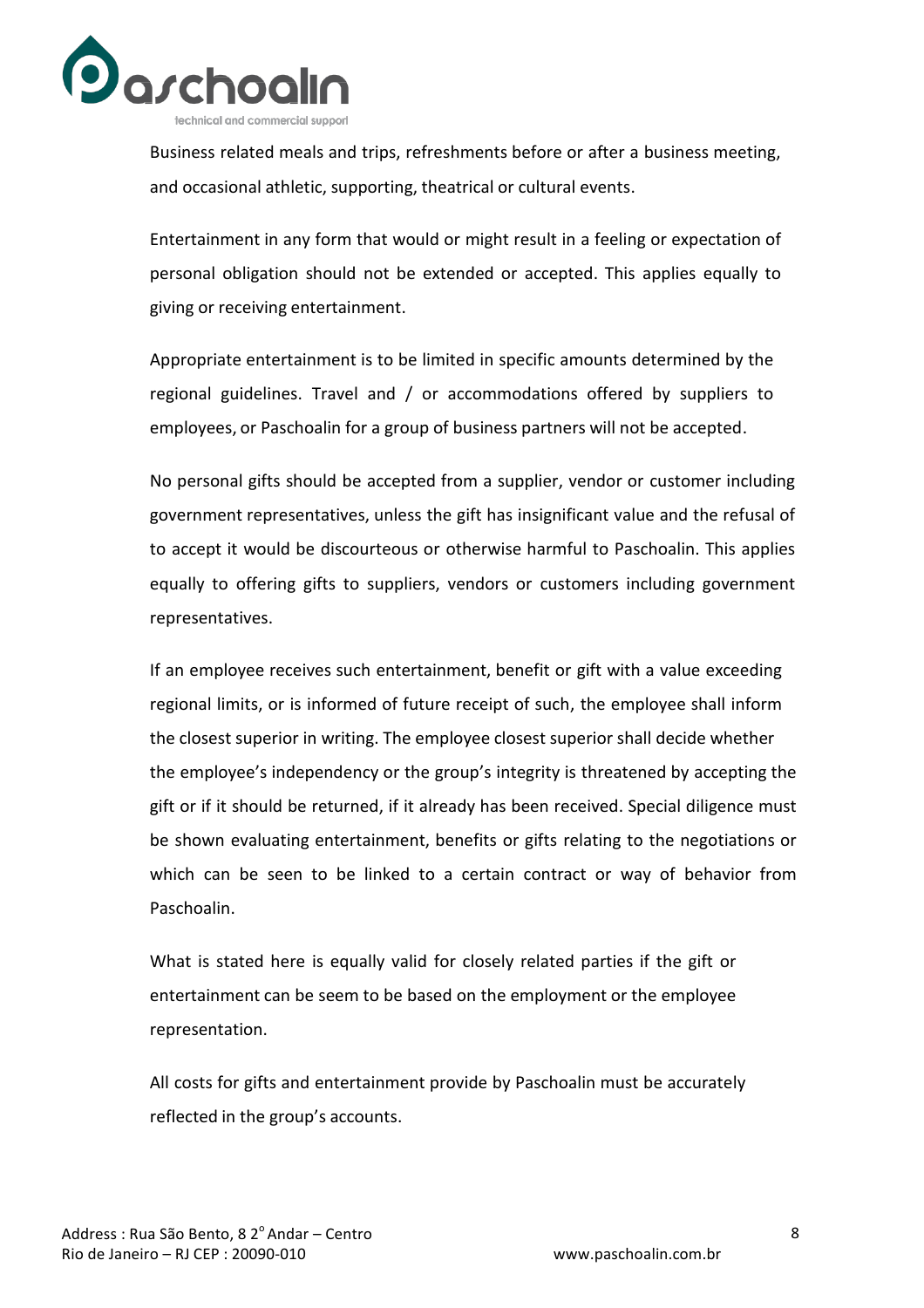

Business related meals and trips, refreshments before or after a business meeting, and occasional athletic, supporting, theatrical or cultural events.

Entertainment in any form that would or might result in a feeling or expectation of personal obligation should not be extended or accepted. This applies equally to giving or receiving entertainment.

Appropriate entertainment is to be limited in specific amounts determined by the regional guidelines. Travel and / or accommodations offered by suppliers to employees, or Paschoalin for a group of business partners will not be accepted.

No personal gifts should be accepted from a supplier, vendor or customer including government representatives, unless the gift has insignificant value and the refusal of to accept it would be discourteous or otherwise harmful to Paschoalin. This applies equally to offering gifts to suppliers, vendors or customers including government representatives.

If an employee receives such entertainment, benefit or gift with a value exceeding regional limits, or is informed of future receipt of such, the employee shall inform the closest superior in writing. The employee closest superior shall decide whether the employee's independency or the group's integrity is threatened by accepting the gift or if it should be returned, if it already has been received. Special diligence must be shown evaluating entertainment, benefits or gifts relating to the negotiations or which can be seen to be linked to a certain contract or way of behavior from Paschoalin.

What is stated here is equally valid for closely related parties if the gift or entertainment can be seem to be based on the employment or the employee representation.

All costs for gifts and entertainment provide by Paschoalin must be accurately reflected in the group's accounts.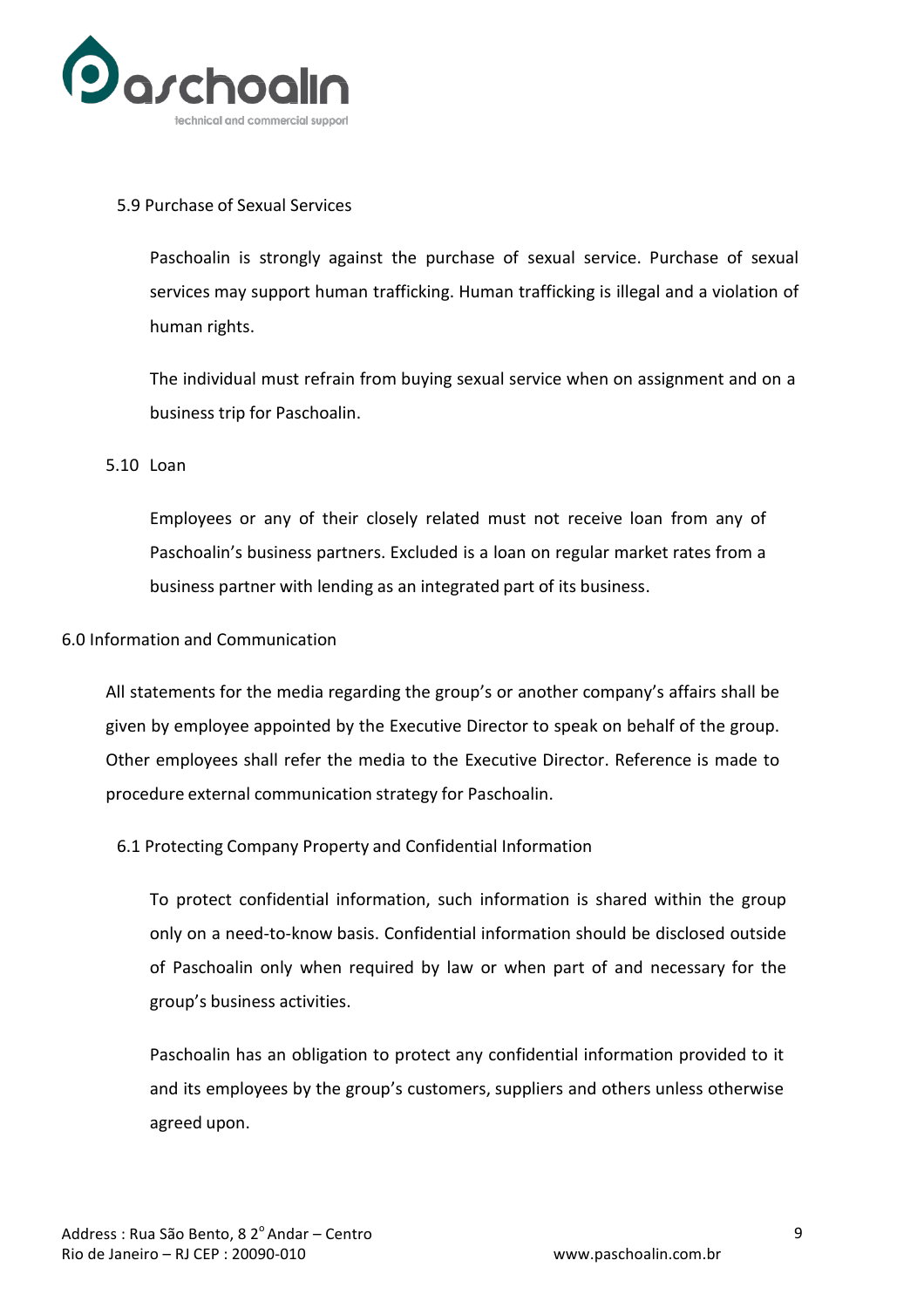

#### 5.9 Purchase of Sexual Services

Paschoalin is strongly against the purchase of sexual service. Purchase of sexual services may support human trafficking. Human trafficking is illegal and a violation of human rights.

The individual must refrain from buying sexual service when on assignment and on a business trip for Paschoalin.

#### 5.10 Loan

Employees or any of their closely related must not receive loan from any of Paschoalin's business partners. Excluded is a loan on regular market rates from a business partner with lending as an integrated part of its business.

#### 6.0 Information and Communication

All statements for the media regarding the group's or another company's affairs shall be given by employee appointed by the Executive Director to speak on behalf of the group. Other employees shall refer the media to the Executive Director. Reference is made to procedure external communication strategy for Paschoalin.

#### 6.1 Protecting Company Property and Confidential Information

To protect confidential information, such information is shared within the group only on a need-to-know basis. Confidential information should be disclosed outside of Paschoalin only when required by law or when part of and necessary for the group's business activities.

Paschoalin has an obligation to protect any confidential information provided to it and its employees by the group's customers, suppliers and others unless otherwise agreed upon.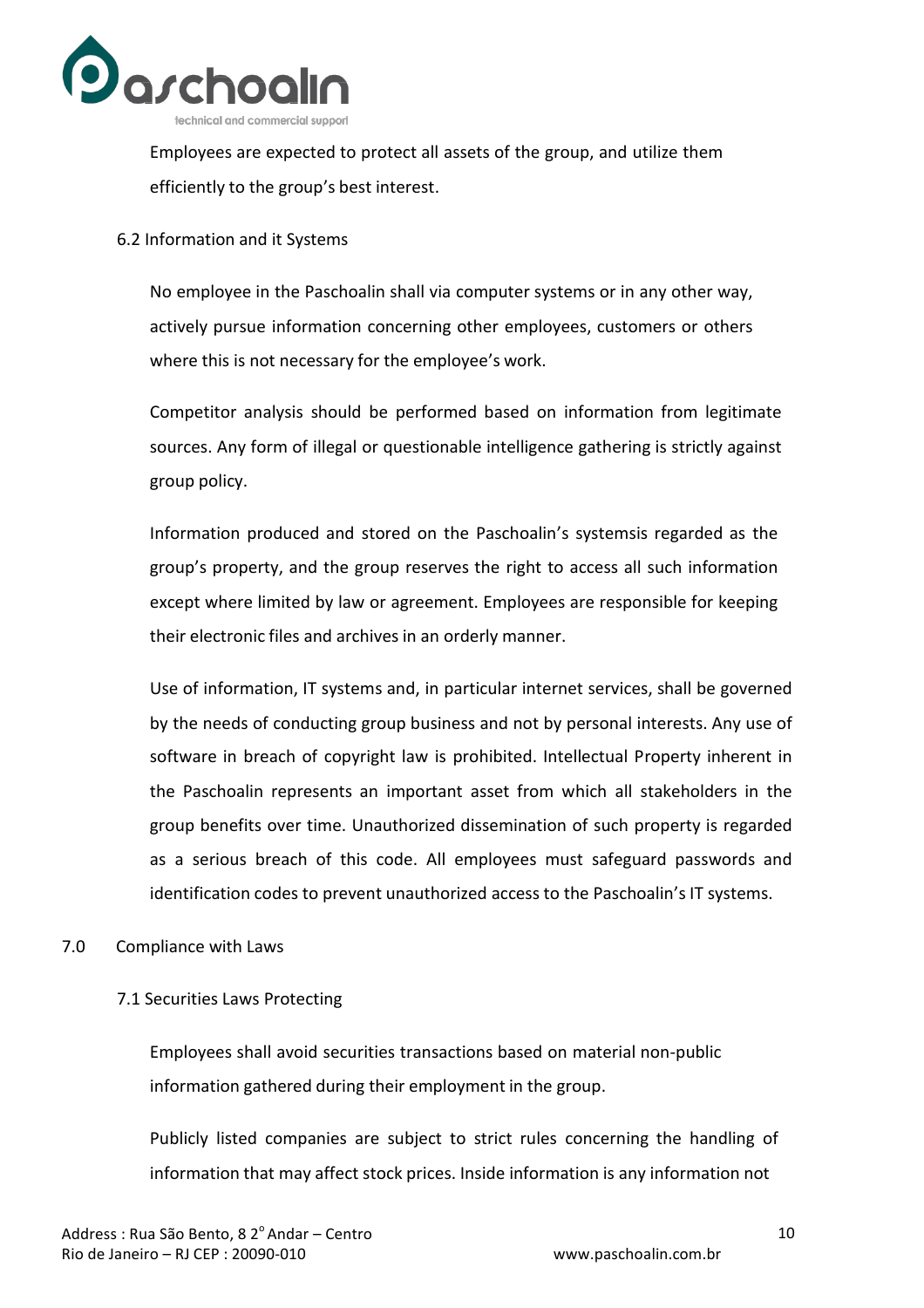

Employees are expected to protect all assets of the group, and utilize them efficiently to the group's best interest.

#### 6.2 Information and it Systems

No employee in the Paschoalin shall via computer systems or in any other way, actively pursue information concerning other employees, customers or others where this is not necessary for the employee's work.

Competitor analysis should be performed based on information from legitimate sources. Any form of illegal or questionable intelligence gathering is strictly against group policy.

Information produced and stored on the Paschoalin's systemsis regarded as the group's property, and the group reserves the right to access all such information except where limited by law or agreement. Employees are responsible for keeping their electronic files and archives in an orderly manner.

Use of information, IT systems and, in particular internet services, shall be governed by the needs of conducting group business and not by personal interests. Any use of software in breach of copyright law is prohibited. Intellectual Property inherent in the Paschoalin represents an important asset from which all stakeholders in the group benefits over time. Unauthorized dissemination of such property is regarded as a serious breach of this code. All employees must safeguard passwords and identification codes to prevent unauthorized access to the Paschoalin's IT systems.

#### 7.0 Compliance with Laws

#### 7.1 Securities Laws Protecting

Employees shall avoid securities transactions based on material non-public information gathered during their employment in the group.

Publicly listed companies are subject to strict rules concerning the handling of information that may affect stock prices. Inside information is any information not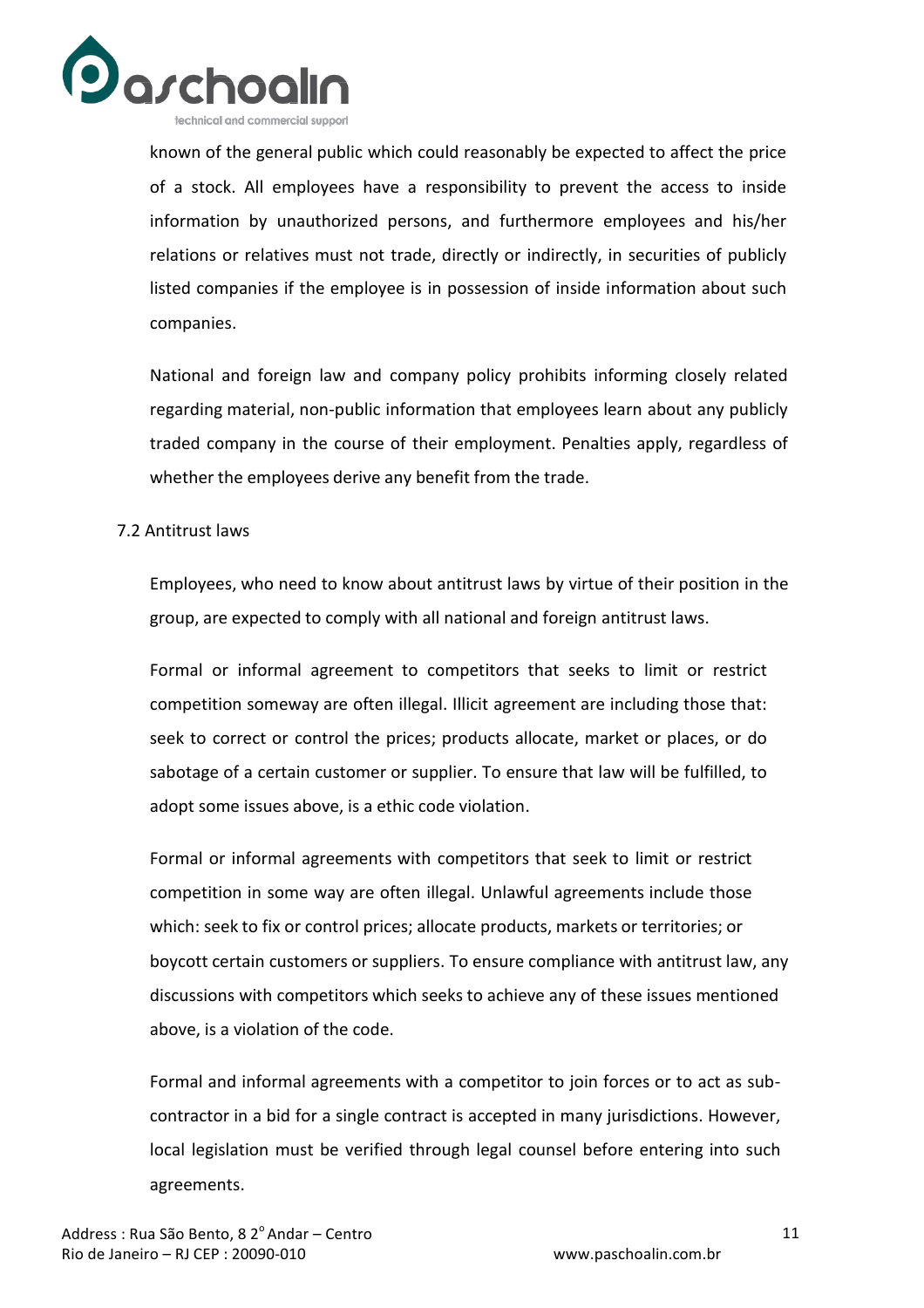

known of the general public which could reasonably be expected to affect the price of a stock. All employees have a responsibility to prevent the access to inside information by unauthorized persons, and furthermore employees and his/her relations or relatives must not trade, directly or indirectly, in securities of publicly listed companies if the employee is in possession of inside information about such companies.

National and foreign law and company policy prohibits informing closely related regarding material, non-public information that employees learn about any publicly traded company in the course of their employment. Penalties apply, regardless of whether the employees derive any benefit from the trade.

#### 7.2 Antitrust laws

Employees, who need to know about antitrust laws by virtue of their position in the group, are expected to comply with all national and foreign antitrust laws.

Formal or informal agreement to competitors that seeks to limit or restrict competition someway are often illegal. Illicit agreement are including those that: seek to correct or control the prices; products allocate, market or places, or do sabotage of a certain customer or supplier. To ensure that law will be fulfilled, to adopt some issues above, is a ethic code violation.

Formal or informal agreements with competitors that seek to limit or restrict competition in some way are often illegal. Unlawful agreements include those which: seek to fix or control prices; allocate products, markets or territories; or boycott certain customers or suppliers. To ensure compliance with antitrust law, any discussions with competitors which seeks to achieve any of these issues mentioned above, is a violation of the code.

Formal and informal agreements with a competitor to join forces or to act as subcontractor in a bid for a single contract is accepted in many jurisdictions. However, local legislation must be verified through legal counsel before entering into such agreements.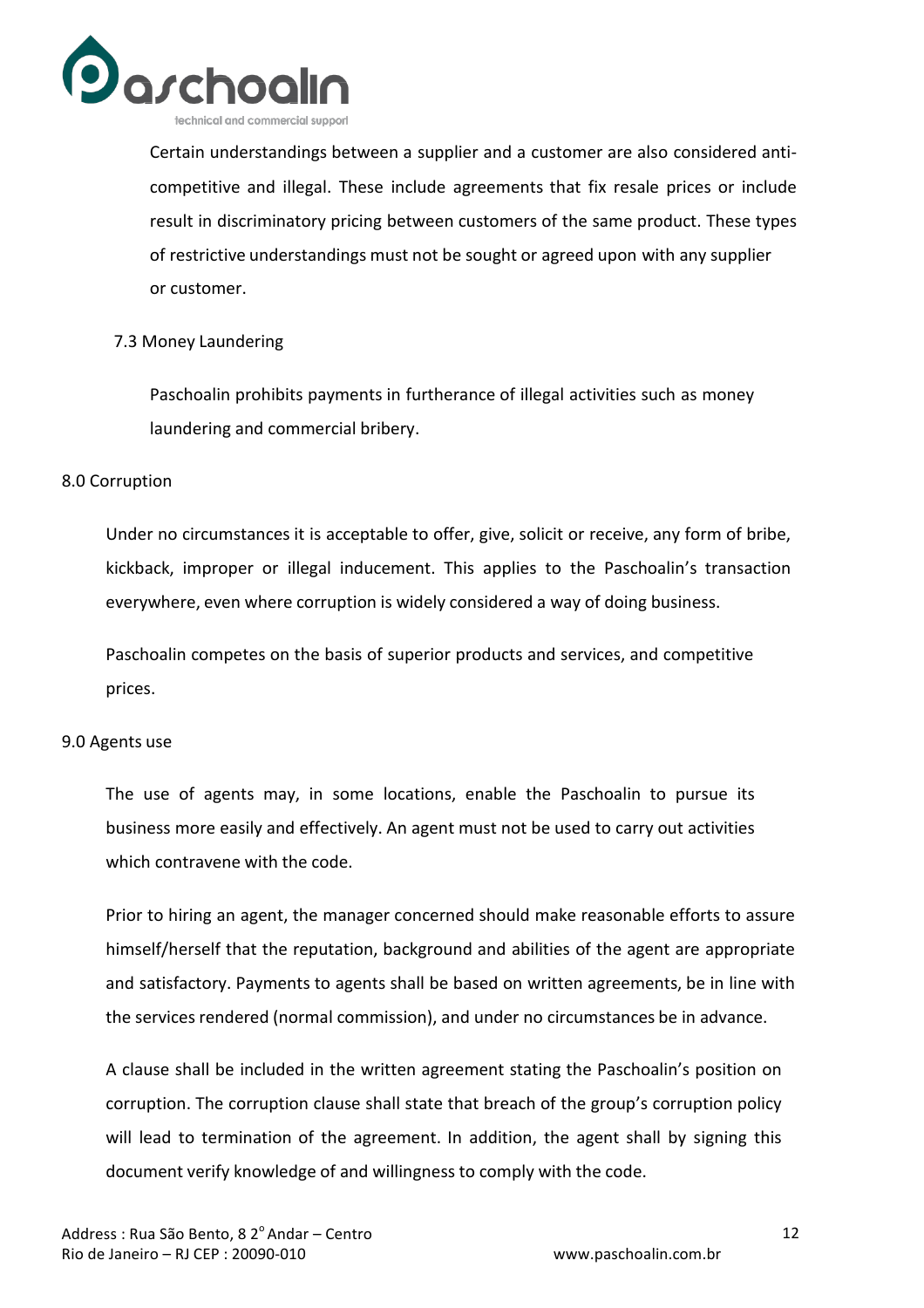

Certain understandings between a supplier and a customer are also considered anticompetitive and illegal. These include agreements that fix resale prices or include result in discriminatory pricing between customers of the same product. These types of restrictive understandings must not be sought or agreed upon with any supplier or customer.

#### 7.3 Money Laundering

Paschoalin prohibits payments in furtherance of illegal activities such as money laundering and commercial bribery.

#### 8.0 Corruption

Under no circumstances it is acceptable to offer, give, solicit or receive, any form of bribe, kickback, improper or illegal inducement. This applies to the Paschoalin's transaction everywhere, even where corruption is widely considered a way of doing business.

Paschoalin competes on the basis of superior products and services, and competitive prices.

#### 9.0 Agents use

The use of agents may, in some locations, enable the Paschoalin to pursue its business more easily and effectively. An agent must not be used to carry out activities which contravene with the code.

Prior to hiring an agent, the manager concerned should make reasonable efforts to assure himself/herself that the reputation, background and abilities of the agent are appropriate and satisfactory. Payments to agents shall be based on written agreements, be in line with the services rendered (normal commission), and under no circumstances be in advance.

A clause shall be included in the written agreement stating the Paschoalin's position on corruption. The corruption clause shall state that breach of the group's corruption policy will lead to termination of the agreement. In addition, the agent shall by signing this document verify knowledge of and willingness to comply with the code.